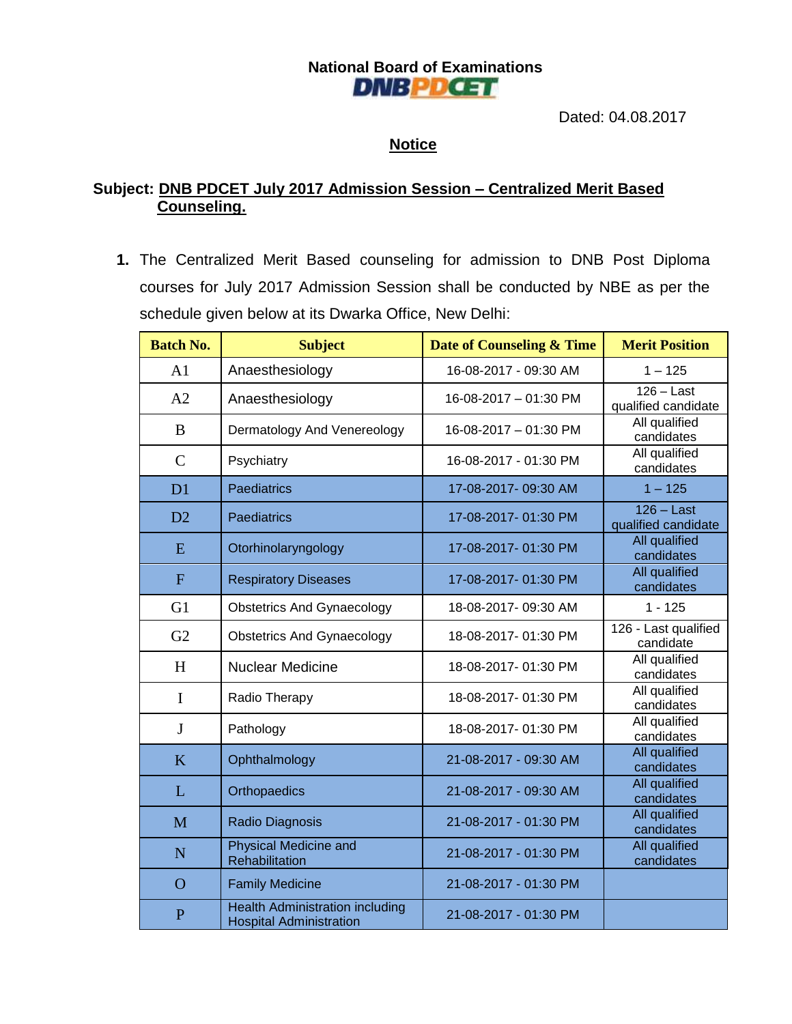## **National Board of Examinations DNBPDCET**

Dated: 04.08.2017

### **Notice**

### **Subject: DNB PDCET July 2017 Admission Session – Centralized Merit Based Counseling.**

**1.** The Centralized Merit Based counseling for admission to DNB Post Diploma courses for July 2017 Admission Session shall be conducted by NBE as per the schedule given below at its Dwarka Office, New Delhi:

| <b>Batch No.</b> | <b>Subject</b>                                                           | <b>Date of Counseling &amp; Time</b> | <b>Merit Position</b>               |
|------------------|--------------------------------------------------------------------------|--------------------------------------|-------------------------------------|
| A1               | Anaesthesiology                                                          | 16-08-2017 - 09:30 AM                | $1 - 125$                           |
| A2               | Anaesthesiology                                                          | 16-08-2017 - 01:30 PM                | $126 - Last$<br>qualified candidate |
| $\bf{B}$         | Dermatology And Venereology                                              | 16-08-2017 - 01:30 PM                | All qualified<br>candidates         |
| $\mathcal{C}$    | Psychiatry                                                               | 16-08-2017 - 01:30 PM                | All qualified<br>candidates         |
| D1               | Paediatrics                                                              | 17-08-2017-09:30 AM                  | $1 - 125$                           |
| D2               | Paediatrics                                                              | 17-08-2017-01:30 PM                  | $126 - Last$<br>qualified candidate |
| E                | Otorhinolaryngology                                                      | 17-08-2017-01:30 PM                  | <b>All qualified</b><br>candidates  |
| $\overline{F}$   | <b>Respiratory Diseases</b>                                              | 17-08-2017-01:30 PM                  | All qualified<br>candidates         |
| G1               | <b>Obstetrics And Gynaecology</b>                                        | 18-08-2017-09:30 AM                  | $1 - 125$                           |
| G2               | <b>Obstetrics And Gynaecology</b>                                        | 18-08-2017-01:30 PM                  | 126 - Last qualified<br>candidate   |
| H                | <b>Nuclear Medicine</b>                                                  | 18-08-2017-01:30 PM                  | All qualified<br>candidates         |
| $\mathbf I$      | Radio Therapy                                                            | 18-08-2017-01:30 PM                  | All qualified<br>candidates         |
| J                | Pathology                                                                | 18-08-2017-01:30 PM                  | All qualified<br>candidates         |
| K                | Ophthalmology                                                            | 21-08-2017 - 09:30 AM                | All qualified<br>candidates         |
| L                | Orthopaedics                                                             | 21-08-2017 - 09:30 AM                | All qualified<br>candidates         |
| M                | Radio Diagnosis                                                          | 21-08-2017 - 01:30 PM                | All qualified<br>candidates         |
| $\mathbf N$      | <b>Physical Medicine and</b><br>Rehabilitation                           | 21-08-2017 - 01:30 PM                | All qualified<br>candidates         |
| $\Omega$         | <b>Family Medicine</b>                                                   | 21-08-2017 - 01:30 PM                |                                     |
| $\overline{P}$   | <b>Health Administration including</b><br><b>Hospital Administration</b> | 21-08-2017 - 01:30 PM                |                                     |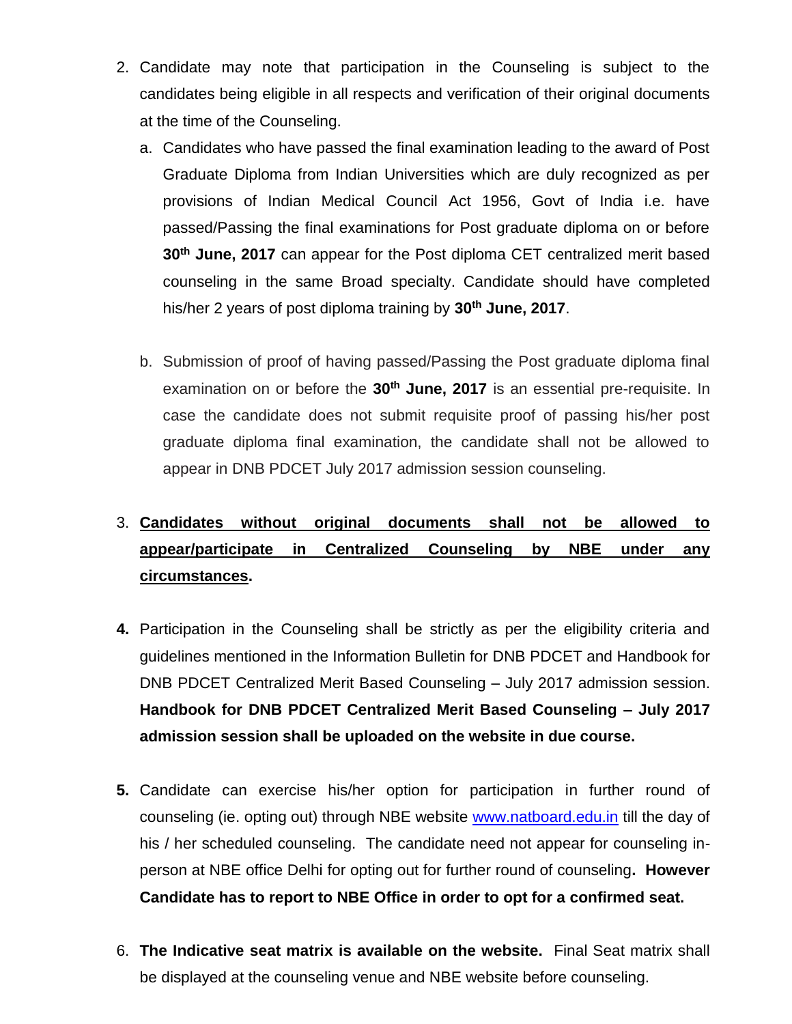- 2. Candidate may note that participation in the Counseling is subject to the candidates being eligible in all respects and verification of their original documents at the time of the Counseling.
	- a. Candidates who have passed the final examination leading to the award of Post Graduate Diploma from Indian Universities which are duly recognized as per provisions of Indian Medical Council Act 1956, Govt of India i.e. have passed/Passing the final examinations for Post graduate diploma on or before **30th June, 2017** can appear for the Post diploma CET centralized merit based counseling in the same Broad specialty. Candidate should have completed his/her 2 years of post diploma training by **30th June, 2017**.
	- b. Submission of proof of having passed/Passing the Post graduate diploma final examination on or before the **30th June, 2017** is an essential pre-requisite. In case the candidate does not submit requisite proof of passing his/her post graduate diploma final examination, the candidate shall not be allowed to appear in DNB PDCET July 2017 admission session counseling.

# 3. **Candidates without original documents shall not be allowed to appear/participate in Centralized Counseling by NBE under any circumstances.**

- **4.** Participation in the Counseling shall be strictly as per the eligibility criteria and guidelines mentioned in the Information Bulletin for DNB PDCET and Handbook for DNB PDCET Centralized Merit Based Counseling – July 2017 admission session. **Handbook for DNB PDCET Centralized Merit Based Counseling – July 2017 admission session shall be uploaded on the website in due course.**
- **5.** Candidate can exercise his/her option for participation in further round of counseling (ie. opting out) through NBE website [www.natboard.edu.in](http://www.natboard.edu.in/) till the day of his / her scheduled counseling. The candidate need not appear for counseling inperson at NBE office Delhi for opting out for further round of counseling**. However Candidate has to report to NBE Office in order to opt for a confirmed seat.**
- 6. **The Indicative seat matrix is available on the website.** Final Seat matrix shall be displayed at the counseling venue and NBE website before counseling.